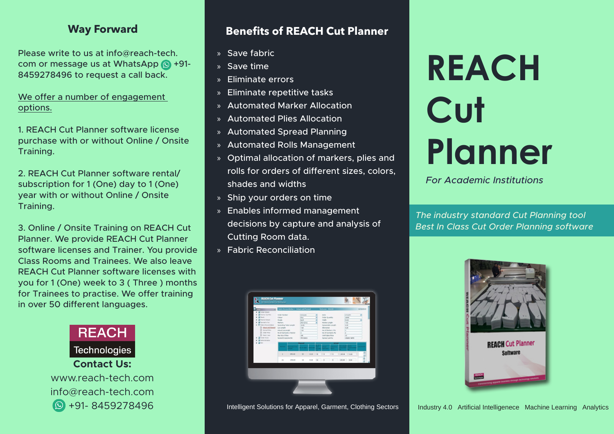### **Way Forward**

Please write to us at info  $\alpha$  reach-tech. com or message us at WhatsApp  $\circledR$  +91-8459278496 to request a call back.

We offer a number of engagement options.

1. REACH Cut Planner software license purchase with or without Online / Onsite .Training

2. REACH Cut Planner software rental/ subscription for 1 (One) day to 1 (One) year with or without Online / Onsite .Training

3. Online / Onsite Training on REACH Cut Planner. We provide REACH Cut Planner software licenses and Trainer. You provide Class Rooms and Trainees. We also leave REACH Cut Planner software licenses with you for 1 (One) week to 3 (Three) months for Trainees to practise. We offer training in over 50 different languages.



### **Benefits of REACH Cut Planner**

- » Save fabric
- » Save time
- » Eliminate errors
- » Eliminate repetitive tasks
- » Automated Marker Allocation
- » Automated Plies Allocation
- » Automated Spread Planning
- » Automated Rolls Management
- » Optimal allocation of markers, plies and rolls for orders of different sizes, colors, shades and widths
- » Ship your orders on time
- » Enables informed management decisions by capture and analysis of Cutting Room data.
- » Fabric Reconciliation



# **REACH Cut Planner**

*Institutions Academic For*

**The industry standard Cut Planning tool Best In Class Cut Order Planning software** 



Intelligent Solutions for Apparel, Garment, Clothing Sectors | Industry 4.0 Artificial Intelligenece Machine Learning Analytics